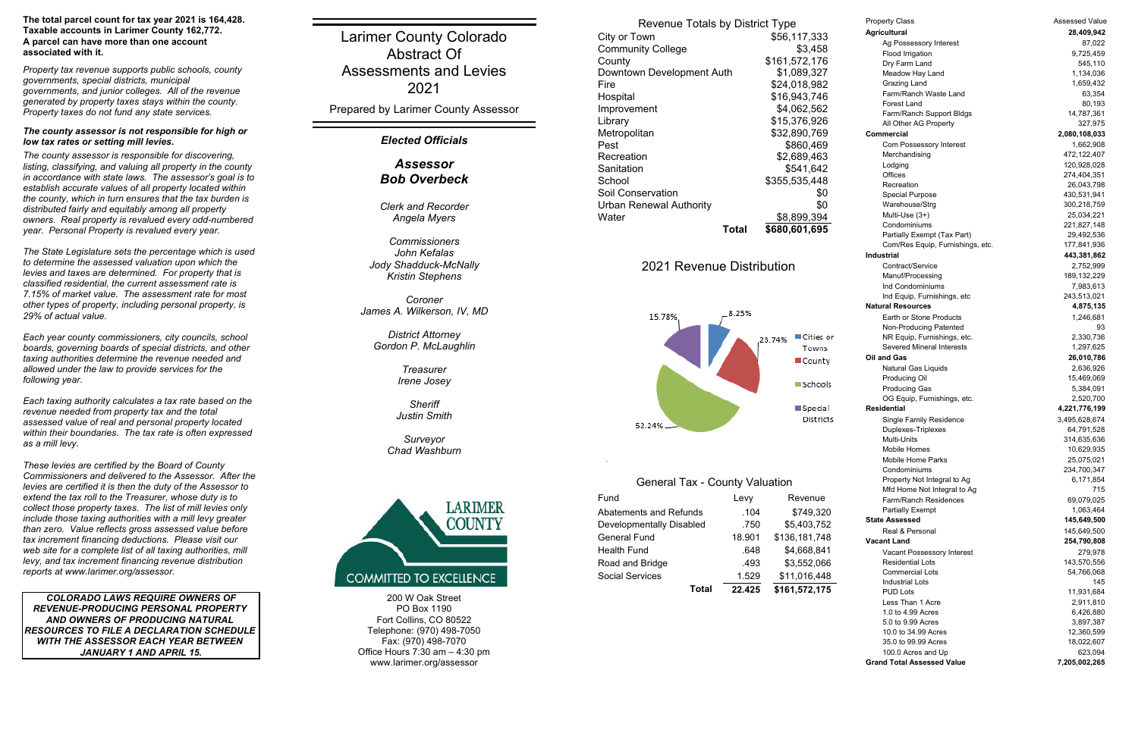200 W Oak StreetPO Box 1190Fort Collins, CO 80522 Telephone: (970) 498-7050 Fax: (970) 498-7070 Office Hours 7:30 am – 4:30 pm www.larimer.org/assessor

*The county assessor is responsible for discovering, listing, classifying, and valuing all property in the county in accordance with state laws. The assessor's goal is to establish accurate values of all property located within the county, which in turn ensures that the tax burden is distributed fairly and equitably among all property owners. Real property is revalued every odd-numbered year. Personal Property is revalued every year.*

*The State Legislature sets the percentage which is used to determine the assessed valuation upon which the levies and taxes are determined. For property that is classified residential, the current assessment rate is 7.15% of market value. The assessment rate for most other types of property, including personal property, is 29% of actual value.*

*Each year county commissioners, city councils, school boards, governing boards of special districts, and other taxing authorities determine the revenue needed and allowed under the law to provide services for the following year.*

*Each taxing authority calculates a tax rate based on the revenue needed from property tax and the total assessed value of real and personal property located within their boundaries. The tax rate is often expressed as a mill levy.*

*These levies are certified by the Board of County Commissioners and delivered to the Assessor. After the levies are certified it is then the duty of the Assessor to extend the tax roll to the Treasurer, whose duty is to collect those property taxes. The list of mill levies only include those taxing authorities with a mill levy greater than zero. Value reflects gross assessed value before tax increment financing deductions. Please visit our web site for a complete list of all taxing authorities, mill levy, and tax increment financing revenue distribution reports at www.larimer.org/assessor.*

 *COLORADO LAWS REQUIRE OWNERS OF REVENUE-PRODUCING PERSONAL PROPERTY AND OWNERS OF PRODUCING NATURAL RESOURCES TO FILE A DECLARATION SCHEDULE WITH THE ASSESSOR EACH YEAR BETWEEN JANUARY 1 AND APRIL 15.*

### *Elected Officials*

Larimer County Colorado Abstract OfAssessments and Levies2021

> *Clerk and RecorderAngela Myers*

*CommissionersJohn KefalasJody Shadduck-McNally Kristin Stephens*

*CoronerJames A. Wilkerson, IV, MD*

*District Attorney Gordon P. McLaughlin*

> *TreasurerIrene Josey*

*SheriffJustin Smith*

*Surveyor Chad Washburn*



# 2021 Revenue Distribution



Prepared by Larimer County Assessor

#### *The county assessor is not responsible for high or low tax rates or setting mill levies.*

*Property tax revenue supports public schools, county governments, special districts, municipal governments, and junior colleges. All of the revenue generated by property taxes stays within the county. Property taxes do not fund any state services.*

Property Class **Assessed Value Assessed Value Agricultural 28,409,942** Ag Possessory Interest 87,022 Flood Irrigation 6.1 and 19,725,459 Drv Farm Land 545,110 Meadow Hay Land 1,134,036 Grazing Land 1,659,432 Farm/Ranch Waste LandForest LandFarm/Ranch Support Bldgs 14,787,361 All Other AG Property 327,975 **Commercial 2,080,108,033** Com Possessory Interest 1,662,908 Merchandising 472,122,407 Lodging 120,928,028 **Offices** RecreationSpecial Purpose 430,531,941 Warehouse/Strg 300,218,759 Multi-Use (3+) 25,034,221 CondominiumsPartially Exempt (Tax Part) 29,492,536 Com/Res Equip, Furnishings, etc. 177,841,936 **Industrial 443,381,862** Contract/ServiceManuf/Processing 189,132,229 Ind CondominiumsInd Equip, Furnishings, etc 243,513,021 **Natural Resources 4,875,135** Earth or Stone ProductsNon-Producing Patented 93 NR Equip, Furnishings, etc. 2,330,736 Severed Mineral Interests**Oil and Gas 26,010,786** Natural Gas Liquids 2,636,926 Producing Oil 15,469,069 Producing Gas 5,384,091 OG Equip, Furnishings, etc. 2,520,700 **Residential 4,221,776,199** Single Family Residence 3,495,628,674 Duplexes-Triplexes 64,791,528 Multi-UnitsMobile HomesMobile Home ParksCondominiumsProperty Not Integral to Ag 6,171,854 Mfd Home Not Integral to Ag 715 Farm/Ranch ResidencesPartially Exempt 1,063,464 **State Assessed 145,649,500** Real & Personal**Vacant Land 254,790,808** Vacant Possessory Interest 279,978 Residential LotsCommercial LotsIndustrial Lots $\sim$  145 PUD LotsLess Than 1 Acre1.0 to 4.99 Acres5.0 to 9.99 Acres10.0 to 34.99 Acres35.0 to 99.99 Acres100.0 Acres and Up 623.094 **Grand Total Assessed Value**

#### **The total parcel count for tax year 2021 is 164,428. Taxable accounts in Larimer County 162,772. A parcel can have more than one account associated with it.**

## *AssessorBob Overbeck*

### General Tax - County Valuation

| Fund                     | Levy   | Revenue       |
|--------------------------|--------|---------------|
| Abatements and Refunds   | .104   | \$749,320     |
| Developmentally Disabled | .750   | \$5,403,752   |
| <b>General Fund</b>      | 18.901 | \$136,181,748 |
| <b>Health Fund</b>       | .648   | \$4,668,841   |
| Road and Bridge          | .493   | \$3,552,066   |
| <b>Social Services</b>   | 1.529  | \$11,016,448  |
| Total                    | 22.425 | \$161,572,175 |

| <b>Revenue Totals by District Type</b> |       |               |  |  |
|----------------------------------------|-------|---------------|--|--|
| City or Town                           |       | \$56,117,333  |  |  |
| <b>Community College</b>               |       | \$3,458       |  |  |
| County                                 |       | \$161,572,176 |  |  |
| Downtown Development Auth              |       | \$1,089,327   |  |  |
| Fire                                   |       | \$24,018,982  |  |  |
| Hospital                               |       | \$16,943,746  |  |  |
| Improvement                            |       | \$4,062,562   |  |  |
| Library                                |       | \$15,376,926  |  |  |
| Metropolitan                           |       | \$32,890,769  |  |  |
| Pest                                   |       | \$860,469     |  |  |
| Recreation                             |       | \$2,689,463   |  |  |
| Sanitation                             |       | \$541,642     |  |  |
| School                                 |       | \$355,535,448 |  |  |
| Soil Conservation                      |       | \$0           |  |  |
| Urban Renewal Authority                |       | \$0           |  |  |
| Water                                  |       | \$8,899,394   |  |  |
|                                        | Total | \$680,601,695 |  |  |

 63,354 80,193 274,404,351 26,043,798 221,827,148 2,752,999 7,983,613 1,246,681 1,297,625 314,635,636 10,629,935 25,075,021 234,700,347 69,079,025 145,649,500 143,570,556 54,766,068 11,931,684 2,911,810 6,426,880 3,897,387 12,360,599 18,022,607 **7,205,002,265**